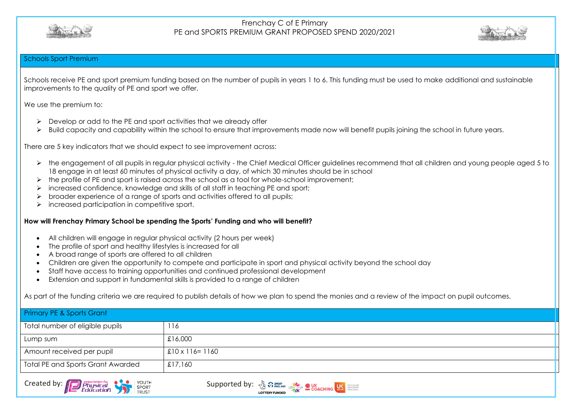



### Schools Sport Premium

Schools receive PE and sport premium funding based on the number of pupils in years 1 to 6. This funding must be used to make additional and sustainable improvements to the quality of PE and sport we offer.

We use the premium to:

- ➢ Develop or add to the PE and sport activities that we already offer
- ➢ Build capacity and capability within the school to ensure that improvements made now will benefit pupils joining the school in future years.

There are 5 key indicators that we should expect to see improvement across:

- ➢ the engagement of all pupils in regular physical activity the Chief Medical Officer guidelines recommend that all children and young people aged 5 to 18 engage in at least 60 minutes of physical activity a day, of which 30 minutes should be in school
- ➢ the profile of PE and sport is raised across the school as a tool for whole-school improvement;
- ➢ increased confidence, knowledge and skills of all staff in teaching PE and sport;
- ➢ broader experience of a range of sports and activities offered to all pupils;
- ➢ increased participation in competitive sport.

### **How will Frenchay Primary School be spending the Sports' Funding and who will benefit?**

- All children will engage in regular physical activity (2 hours per week)
- The profile of sport and healthy lifestyles is increased for all
- A broad range of sports are offered to all children
- Children are given the opportunity to compete and participate in sport and physical activity beyond the school day
- Staff have access to training opportunities and continued professional development
- Extension and support in fundamental skills is provided to a range of children

As part of the funding criteria we are required to publish details of how we plan to spend the monies and a review of the impact on pupil outcomes.

| <b>Primary PE &amp; Sports Grant</b>     |                         |
|------------------------------------------|-------------------------|
| Total number of eligible pupils          | 116                     |
| Lump sum                                 | £16,000                 |
| Amount received per pupil                | $£10 \times 116 = 1160$ |
| <b>Total PE and Sports Grant Awarded</b> | £17,160                 |



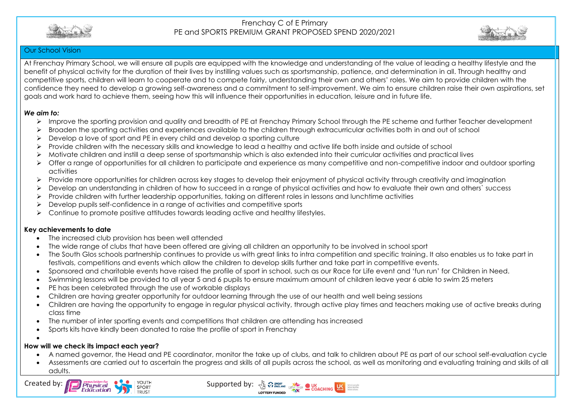



### Our School Vision

At Frenchay Primary School, we will ensure all pupils are equipped with the knowledge and understanding of the value of leading a healthy lifestyle and the benefit of physical activity for the duration of their lives by instilling values such as sportsmanship, patience, and determination in all. Through healthy and competitive sports, children will learn to cooperate and to compete fairly, understanding their own and others' roles. We aim to provide children with the confidence they need to develop a growing self-awareness and a commitment to self-improvement. We aim to ensure children raise their own aspirations, set goals and work hard to achieve them, seeing how this will influence their opportunities in education, leisure and in future life.

### *We aim to:*

- ➢ Improve the sporting provision and quality and breadth of PE at Frenchay Primary School through the PE scheme and further Teacher development
- ➢ Broaden the sporting activities and experiences available to the children through extracurricular activities both in and out of school
- ➢ Develop a love of sport and PE in every child and develop a sporting culture
- ➢ Provide children with the necessary skills and knowledge to lead a healthy and active life both inside and outside of school
- ➢ Motivate children and instill a deep sense of sportsmanship which is also extended into their curricular activities and practical lives
- ➢ Offer a range of opportunities for all children to participate and experience as many competitive and non-competitive indoor and outdoor sporting activities
- ➢ Provide more opportunities for children across key stages to develop their enjoyment of physical activity through creativity and imagination
- ➢ Develop an understanding in children of how to succeed in a range of physical activities and how to evaluate their own and others` success
- ➢ Provide children with further leadership opportunities, taking on different roles in lessons and lunchtime activities
- $\triangleright$  Develop pupils self-confidence in a range of activities and competitive sports
- ➢ Continue to promote positive attitudes towards leading active and healthy lifestyles.

### **Key achievements to date**

- The increased club provision has been well attended
- The wide range of clubs that have been offered are giving all children an opportunity to be involved in school sport
- The South Glos schools partnership continues to provide us with great links to intra competition and specific training. It also enables us to take part in festivals, competitions and events which allow the children to develop skills further and take part in competitive events.
- Sponsored and charitable events have raised the profile of sport in school, such as our Race for Life event and 'fun run' for Children in Need.
- Swimming lessons will be provided to all year 5 and 6 pupils to ensure maximum amount of children leave year 6 able to swim 25 meters
- PE has been celebrated through the use of workable displays
- Children are having greater opportunity for outdoor learning through the use of our health and well being sessions
- Children are having the opportunity to engage in regular physical activity, through active play times and teachers making use of active breaks during class time
- The number of inter sporting events and competitions that children are attending has increased
- Sports kits have kindly been donated to raise the profile of sport in Frenchay

#### • **How will we check its impact each year?**

- A named governor, the Head and PE coordinator, monitor the take up of clubs, and talk to children about PE as part of our school self-evaluation cycle
- Assessments are carried out to ascertain the progress and skills of all pupils across the school, as well as monitoring and evaluating training and skills of all adults.



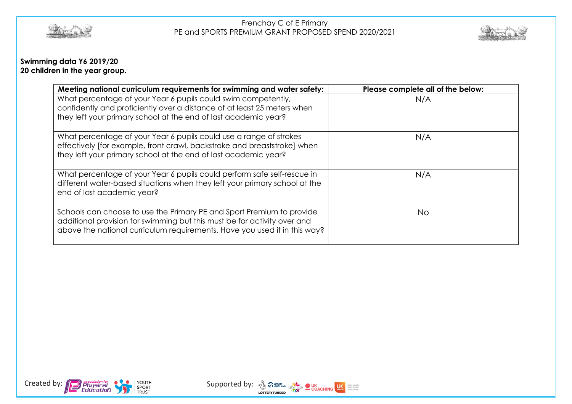



# **Swimming data Y6 2019/20 20 children in the year group.**

| Meeting national curriculum requirements for swimming and water safety:                                                                                                                                                        | Please complete all of the below: |
|--------------------------------------------------------------------------------------------------------------------------------------------------------------------------------------------------------------------------------|-----------------------------------|
| What percentage of your Year 6 pupils could swim competently,<br>confidently and proficiently over a distance of at least 25 meters when<br>they left your primary school at the end of last academic year?                    | N/A                               |
| What percentage of your Year 6 pupils could use a range of strokes<br>effectively [for example, front crawl, backstroke and breaststroke] when<br>they left your primary school at the end of last academic year?              | N/A                               |
| What percentage of your Year 6 pupils could perform safe self-rescue in<br>different water-based situations when they left your primary school at the<br>end of last academic year?                                            | N/A                               |
| Schools can choose to use the Primary PE and Sport Premium to provide<br>additional provision for swimming but this must be for activity over and<br>above the national curriculum requirements. Have you used it in this way? | No.                               |



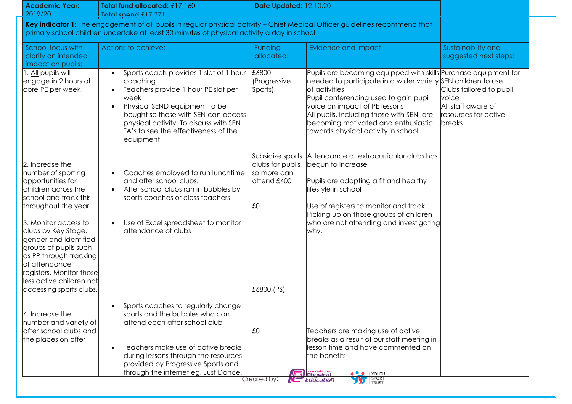| <b>Academic Year:</b><br>2019/20                                                                                                                                                                                                                                                                                                                                 | Total fund allocated: £17,160<br>Total spend £17 771                                                                                                                                                                                                                     | Date Updated: 12.10.20                                                                 |                                                                                                                                                                                                                                                                                                                                                       |                                                                                                 |
|------------------------------------------------------------------------------------------------------------------------------------------------------------------------------------------------------------------------------------------------------------------------------------------------------------------------------------------------------------------|--------------------------------------------------------------------------------------------------------------------------------------------------------------------------------------------------------------------------------------------------------------------------|----------------------------------------------------------------------------------------|-------------------------------------------------------------------------------------------------------------------------------------------------------------------------------------------------------------------------------------------------------------------------------------------------------------------------------------------------------|-------------------------------------------------------------------------------------------------|
|                                                                                                                                                                                                                                                                                                                                                                  | Key indicator 1: The engagement of all pupils in regular physical activity - Chief Medical Officer guidelines recommend that<br>primary school children undertake at least 30 minutes of physical activity a day in school                                               |                                                                                        |                                                                                                                                                                                                                                                                                                                                                       |                                                                                                 |
| School focus with<br>clarity on intended<br>impact on pupils:                                                                                                                                                                                                                                                                                                    | Actions to achieve:                                                                                                                                                                                                                                                      | <b>Funding</b><br>allocated:                                                           | Evidence and impact:                                                                                                                                                                                                                                                                                                                                  | Sustainability and<br>suggested next steps:                                                     |
| . All pupils will<br>engage in 2 hours of<br>core PE per week                                                                                                                                                                                                                                                                                                    | Sports coach provides 1 slot of 1 hour<br>coaching<br>Teachers provide 1 hour PE slot per<br>week<br>Physical SEND equipment to be<br>bought so those with SEN can access<br>physical activity. To discuss with SEN<br>TA's to see the effectiveness of the<br>equipment | £6800<br>(Progressive<br>Sports)                                                       | Pupils are becoming equipped with skills Purchase equipment for<br>needed to participate in a wider variety SEN children to use<br>of activities<br>Pupil conferencing used to gain pupil<br>voice on impact of PE lessons<br>All pupils, including those with SEN, are<br>becoming motivated and enthusiastic<br>towards physical activity in school | Clubs tailored to pupil<br>voice<br>All staff aware of<br>resources for active<br><b>breaks</b> |
| 2. Increase the<br>number of sporting<br>opportunities for<br>children across the<br>school and track this<br>throughout the year<br>3. Monitor access to<br>clubs by Key Stage,<br>gender and identified<br>groups of pupils such<br>as PP through tracking<br>of attendance<br>registers. Monitor those<br>less active children not<br>accessing sports clubs. | Coaches employed to run lunchtime<br>and after school clubs.<br>After school clubs ran in bubbles by<br>sports coaches or class teachers<br>Use of Excel spreadsheet to monitor<br>attendance of clubs                                                                   | Subsidize sports<br>clubs for pupils<br>so more can<br>attend £400<br>ЪÛ<br>£6800 (PS) | Attendance at extracurricular clubs has<br>begun to increase<br>Pupils are adopting a fit and healthy<br>lifestyle in school<br>Use of registers to monitor and track.<br>Picking up on those groups of children<br>who are not attending and investigating<br>why.                                                                                   |                                                                                                 |
| 4. Increase the<br>number and variety of<br>after school clubs and<br>the places on offer                                                                                                                                                                                                                                                                        | Sports coaches to regularly change<br>sports and the bubbles who can<br>attend each after school club<br>Teachers make use of active breaks<br>during lessons through the resources<br>provided by Progressive Sports and<br>through the internet eg. Just Dance,        | ЪÛ<br>Created by:                                                                      | Teachers are making use of active<br>breaks as a result of our staff meeting in<br>lesson time and have commented on<br>the benefits<br>association for<br>Ph <b>rusical</b><br>O YOUTH<br><b>BELLET</b>                                                                                                                                              |                                                                                                 |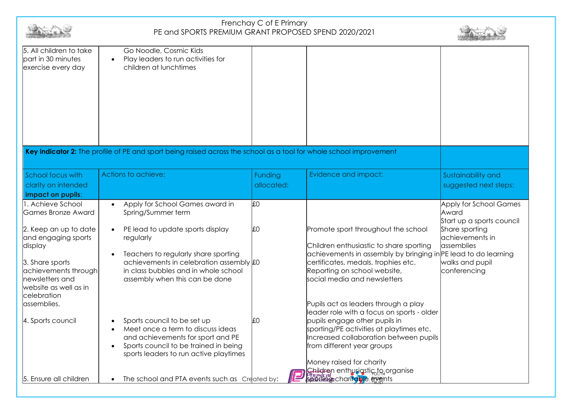|                                                                                                                                                                                                                                 | Frenchay C of E Primary<br>PE and SPORTS PREMIUM GRANT PROPOSED SPEND 2020/2021                                                                                                                                                                                                  |                       |                                                                                                                                                                                                                                                                                                                          |                                                                                                                                                    |  |
|---------------------------------------------------------------------------------------------------------------------------------------------------------------------------------------------------------------------------------|----------------------------------------------------------------------------------------------------------------------------------------------------------------------------------------------------------------------------------------------------------------------------------|-----------------------|--------------------------------------------------------------------------------------------------------------------------------------------------------------------------------------------------------------------------------------------------------------------------------------------------------------------------|----------------------------------------------------------------------------------------------------------------------------------------------------|--|
| 5. All children to take<br>part in 30 minutes<br>exercise every day                                                                                                                                                             | Go Noodle, Cosmic Kids<br>Play leaders to run activities for<br>$\bullet$<br>children at lunchtimes<br>Key indicator 2: The profile of PE and sport being raised across the school as a tool for whole school improvement                                                        |                       |                                                                                                                                                                                                                                                                                                                          |                                                                                                                                                    |  |
| School focus with<br>clarity on intended<br>impact on pupils:                                                                                                                                                                   | Actions to achieve:                                                                                                                                                                                                                                                              | Funding<br>allocated: | Evidence and impact:                                                                                                                                                                                                                                                                                                     | Sustainability and<br>suggested next steps:                                                                                                        |  |
| 1. Achieve School<br><b>Games Bronze Award</b><br>2. Keep an up to date<br>and engaging sports<br>display<br>3. Share sports<br>achievements through<br>newsletters and<br>website as well as in<br>celebration<br>lassemblies. | Apply for School Games award in<br>Spring/Summer term<br>PE lead to update sports display<br>regularly<br>Teachers to regularly share sporting<br>$\bullet$<br>achievements in celebration assembly £0<br>in class bubbles and in whole school<br>assembly when this can be done | <b>JEO</b><br>£0      | Promote sport throughout the school<br>Children enthusiastic to share sporting<br>achievements in assembly by bringing in PE lead to do learning<br>certificates, medals, trophies etc.<br>Reporting on school website,<br>social media and newsletters<br>Pupils act as leaders through a play                          | Apply for School Games<br>Award<br>Start up a sports council<br>Share sporting<br>achievements in<br>assemblies<br>walks and pupil<br>conferencing |  |
| 4. Sports council                                                                                                                                                                                                               | Sports council to be set up<br>Meet once a term to discuss ideas<br>and achievements for sport and PE<br>Sports council to be trained in being<br>$\bullet$<br>sports leaders to run active playtimes                                                                            | lf∩                   | leader role with a focus on sports - older<br>pupils engage other pupils in<br>sporting/PE activities at playtimes etc.<br>Increased collaboration between pupils<br>from different year groups<br>Money raised for charity<br><b>Shildren enthusiqstic to organise</b><br>Physical<br><b>Sporting</b> charitable eyents |                                                                                                                                                    |  |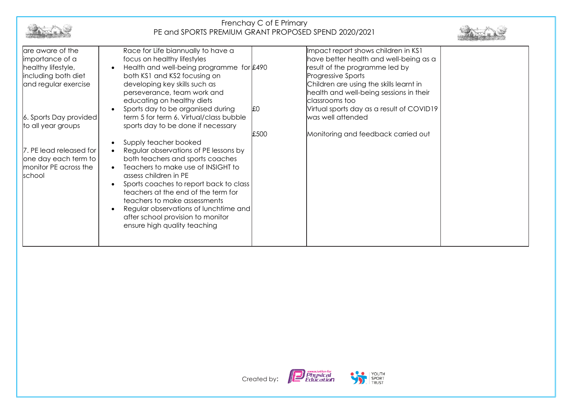|                                                                                                                                    | Frenchay C of E Primary<br>PE and SPORTS PREMIUM GRANT PROPOSED SPEND 2020/2021                                                                                                                                                                                                                                                                                                                                                                                                                                                                                            |                    |                                                                                                                                                                                                                                               |  |  |
|------------------------------------------------------------------------------------------------------------------------------------|----------------------------------------------------------------------------------------------------------------------------------------------------------------------------------------------------------------------------------------------------------------------------------------------------------------------------------------------------------------------------------------------------------------------------------------------------------------------------------------------------------------------------------------------------------------------------|--------------------|-----------------------------------------------------------------------------------------------------------------------------------------------------------------------------------------------------------------------------------------------|--|--|
| are aware of the<br>importance of a<br>healthy lifestyle,<br>including both diet<br>and regular exercise                           | Race for Life biannually to have a<br>focus on healthy lifestyles<br>Health and well-being programme for £490<br>$\bullet$<br>both KS1 and KS2 focusing on<br>developing key skills such as<br>perseverance, team work and<br>educating on healthy diets                                                                                                                                                                                                                                                                                                                   |                    | Impact report shows children in KS1<br>have better health and well-being as a<br>result of the programme led by<br>Progressive Sports<br>Children are using the skills learnt in<br>health and well-being sessions in their<br>classrooms too |  |  |
| 6. Sports Day provided<br>to all year groups<br>7. PE lead released for<br>one day each term to<br>monitor PE across the<br>school | Sports day to be organised during<br>term 5 for term 6. Virtual/class bubble<br>sports day to be done if necessary<br>Supply teacher booked<br>$\bullet$<br>Regular observations of PE lessons by<br>$\bullet$<br>both teachers and sports coaches<br>Teachers to make use of INSIGHT to<br>assess children in PE<br>Sports coaches to report back to class<br>$\bullet$<br>teachers at the end of the term for<br>teachers to make assessments<br>Regular observations of lunchtime and<br>$\bullet$<br>after school provision to monitor<br>ensure high quality teaching | <b>JEO</b><br>£500 | Virtual sports day as a result of COVID19<br>was well attended<br>Monitoring and feedback carried out                                                                                                                                         |  |  |

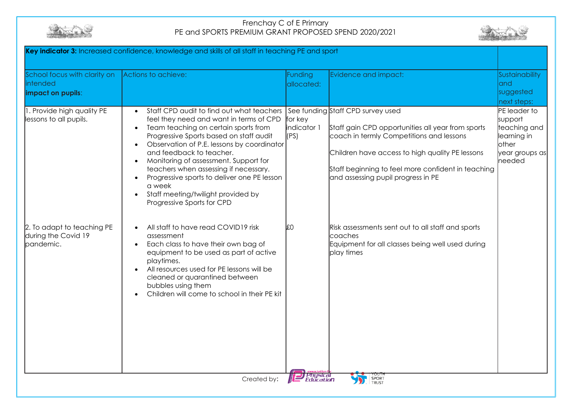



| Key indicator 3: Increased confidence, knowledge and skills of all staff in teaching PE and sport |                                                                                                                                                                                                                                                                                                                                                                                                                                                                                                                                   |                                    |                                                                                                                                                                                                                                                                                   |                                                                                                    |
|---------------------------------------------------------------------------------------------------|-----------------------------------------------------------------------------------------------------------------------------------------------------------------------------------------------------------------------------------------------------------------------------------------------------------------------------------------------------------------------------------------------------------------------------------------------------------------------------------------------------------------------------------|------------------------------------|-----------------------------------------------------------------------------------------------------------------------------------------------------------------------------------------------------------------------------------------------------------------------------------|----------------------------------------------------------------------------------------------------|
| School focus with clarity on<br>intended<br>impact on pupils:                                     | Actions to achieve:                                                                                                                                                                                                                                                                                                                                                                                                                                                                                                               | Funding<br>allocated:              | Evidence and impact:                                                                                                                                                                                                                                                              | Sustainability<br>land<br>suggested<br>next steps:                                                 |
| I. Provide high quality PE<br>lessons to all pupils.                                              | Staff CPD audit to find out what teachers<br>$\bullet$<br>feel they need and want in terms of CPD<br>Team teaching on certain sports from<br>$\bullet$<br>Progressive Sports based on staff audit<br>Observation of P.E. lessons by coordinator<br>$\bullet$<br>and feedback to teacher.<br>Monitoring of assessment. Support for<br>$\bullet$<br>teachers when assessing if necessary.<br>Progressive sports to deliver one PE lesson<br>$\bullet$<br>a week<br>Staff meeting/twilight provided by<br>Progressive Sports for CPD | for key<br>indicator 1<br>(PS)     | See funding Staff CPD survey used<br>Staff gain CPD opportunities all year from sports<br>coach in termly Competitions and lessons<br>Children have access to high quality PE lessons<br>Staff beginning to feel more confident in teaching<br>and assessing pupil progress in PE | PE leader to<br>support<br>teaching and<br>learning in<br><b>other</b><br>year groups as<br>needed |
| 2. To adapt to teaching PE<br>during the Covid 19<br>pandemic.                                    | All staff to have read COVID19 risk<br>$\bullet$<br>assessment<br>Each class to have their own bag of<br>$\bullet$<br>equipment to be used as part of active<br>playtimes.<br>All resources used for PE lessons will be<br>$\bullet$<br>cleaned or quarantined between<br>bubbles using them<br>Children will come to school in their PE kit                                                                                                                                                                                      | £0<br><b>Physical</b><br>Education | Risk assessments sent out to all staff and sports<br>coaches<br>Equipment for all classes being well used during<br>play times                                                                                                                                                    |                                                                                                    |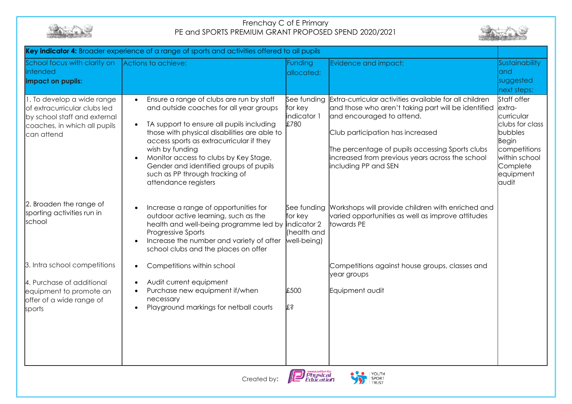



| School focus with clarity on<br>intended<br>impact on pupils:                                                                            | Actions to achieve:                                                                                                                                                                                                                                                                                                                                                                                                    | <b>Funding</b><br>allocated:                         | Evidence and impact:                                                                                                                                                                                                                                                                                         | Sustainability<br>land<br>suggested<br>next steps:                                                                                             |
|------------------------------------------------------------------------------------------------------------------------------------------|------------------------------------------------------------------------------------------------------------------------------------------------------------------------------------------------------------------------------------------------------------------------------------------------------------------------------------------------------------------------------------------------------------------------|------------------------------------------------------|--------------------------------------------------------------------------------------------------------------------------------------------------------------------------------------------------------------------------------------------------------------------------------------------------------------|------------------------------------------------------------------------------------------------------------------------------------------------|
| 1. To develop a wide range<br>of extracurricular clubs led<br>by school staff and external<br>coaches, in which all pupils<br>can attend | Ensure a range of clubs are run by staff<br>and outside coaches for all year groups<br>TA support to ensure all pupils including<br>$\bullet$<br>those with physical disabilities are able to<br>access sports as extracurricular if they<br>wish by funding<br>Monitor access to clubs by Key Stage,<br>$\bullet$<br>Gender and identified groups of pupils<br>such as PP through tracking of<br>attendance registers | See funding<br>for key<br>indicator 1<br>£780        | Extra-curricular activities available for all children<br>and those who aren't taking part will be identified<br>and encouraged to attend.<br>Club participation has increased<br>The percentage of pupils accessing Sports clubs<br>increased from previous years across the school<br>including PP and SEN | Staff offer<br>extra-<br>curricular<br>clubs for class<br>bubbles<br>Begin<br>competitions<br>within school<br>Complete<br>equipment<br>laudit |
| 2. Broaden the range of<br>sporting activities run in<br>school                                                                          | Increase a range of opportunities for<br>outdoor active learning, such as the<br>health and well-being programme led by indicator 2<br>Progressive Sports<br>Increase the number and variety of after<br>school clubs and the places on offer                                                                                                                                                                          | See funding<br>for key<br>(health and<br>well-being) | Workshops will provide children with enriched and<br>varied opportunities as well as improve attitudes<br>towards PE                                                                                                                                                                                         |                                                                                                                                                |
| 3. Intra school competitions<br>4. Purchase of additional<br>equipment to promote an<br>offer of a wide range of<br>sports               | Competitions within school<br>$\bullet$<br>Audit current equipment<br>Purchase new equipment if/when<br>$\bullet$<br>necessary<br>Playground markings for netball courts                                                                                                                                                                                                                                               | £500<br>∦∶Տ                                          | Competitions against house groups, classes and<br>year groups<br>Equipment audit                                                                                                                                                                                                                             |                                                                                                                                                |
|                                                                                                                                          |                                                                                                                                                                                                                                                                                                                                                                                                                        | association for<br>Physical<br>Education             | YOUTH                                                                                                                                                                                                                                                                                                        |                                                                                                                                                |